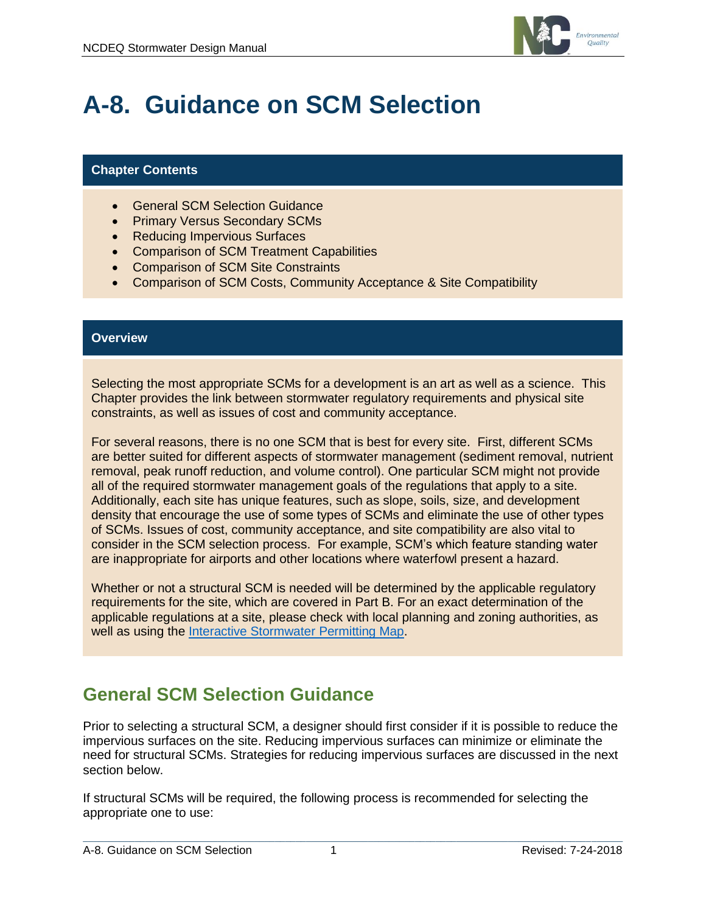

# **A-8. Guidance on SCM Selection**

### **Chapter Contents**

- General SCM Selection Guidance
- Primary Versus Secondary SCMs
- Reducing Impervious Surfaces
- Comparison of SCM Treatment Capabilities
- Comparison of SCM Site Constraints
- Comparison of SCM Costs, Community Acceptance & Site Compatibility

#### **Overview**

Selecting the most appropriate SCMs for a development is an art as well as a science. This Chapter provides the link between stormwater regulatory requirements and physical site constraints, as well as issues of cost and community acceptance.

For several reasons, there is no one SCM that is best for every site. First, different SCMs are better suited for different aspects of stormwater management (sediment removal, nutrient removal, peak runoff reduction, and volume control). One particular SCM might not provide all of the required stormwater management goals of the regulations that apply to a site. Additionally, each site has unique features, such as slope, soils, size, and development density that encourage the use of some types of SCMs and eliminate the use of other types of SCMs. Issues of cost, community acceptance, and site compatibility are also vital to consider in the SCM selection process. For example, SCM's which feature standing water are inappropriate for airports and other locations where waterfowl present a hazard.

Whether or not a structural SCM is needed will be determined by the applicable regulatory requirements for the site, which are covered in Part B. For an exact determination of the applicable regulations at a site, please check with local planning and zoning authorities, as well as using the [Interactive Stormwater Permitting Map.](https://ncdenr.maps.arcgis.com/apps/StoryMapBasic/index.html?appid=70e2781780834a4bb5d3ec95ddfc01a6)

### **General SCM Selection Guidance**

Prior to selecting a structural SCM, a designer should first consider if it is possible to reduce the impervious surfaces on the site. Reducing impervious surfaces can minimize or eliminate the need for structural SCMs. Strategies for reducing impervious surfaces are discussed in the next section below.

If structural SCMs will be required, the following process is recommended for selecting the appropriate one to use: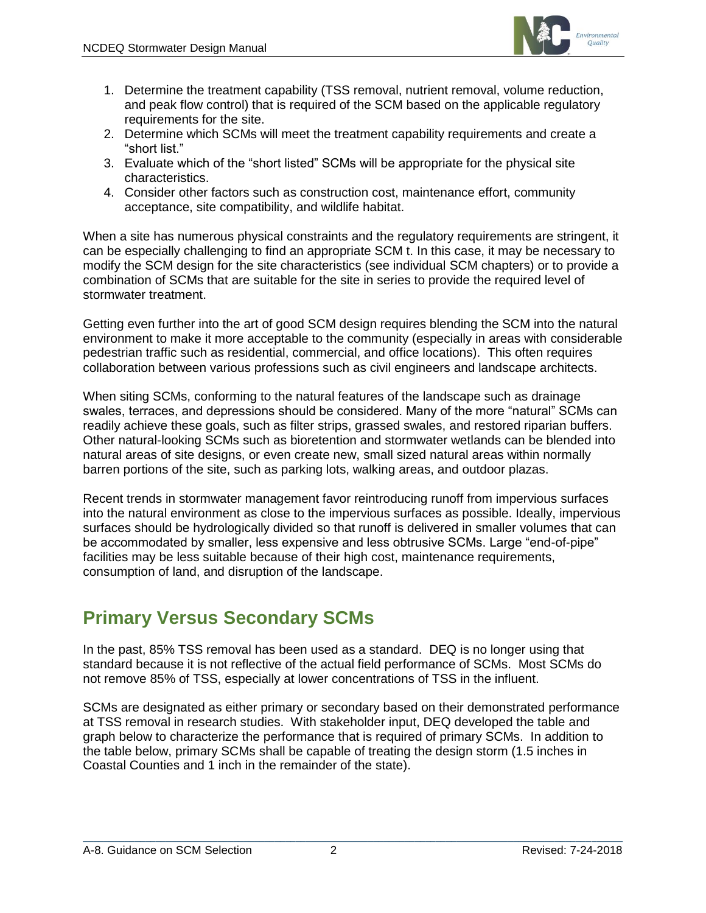

- 1. Determine the treatment capability (TSS removal, nutrient removal, volume reduction, and peak flow control) that is required of the SCM based on the applicable regulatory requirements for the site.
- 2. Determine which SCMs will meet the treatment capability requirements and create a "short list."
- 3. Evaluate which of the "short listed" SCMs will be appropriate for the physical site characteristics.
- 4. Consider other factors such as construction cost, maintenance effort, community acceptance, site compatibility, and wildlife habitat.

When a site has numerous physical constraints and the regulatory requirements are stringent, it can be especially challenging to find an appropriate SCM t. In this case, it may be necessary to modify the SCM design for the site characteristics (see individual SCM chapters) or to provide a combination of SCMs that are suitable for the site in series to provide the required level of stormwater treatment.

Getting even further into the art of good SCM design requires blending the SCM into the natural environment to make it more acceptable to the community (especially in areas with considerable pedestrian traffic such as residential, commercial, and office locations). This often requires collaboration between various professions such as civil engineers and landscape architects.

When siting SCMs, conforming to the natural features of the landscape such as drainage swales, terraces, and depressions should be considered. Many of the more "natural" SCMs can readily achieve these goals, such as filter strips, grassed swales, and restored riparian buffers. Other natural-looking SCMs such as bioretention and stormwater wetlands can be blended into natural areas of site designs, or even create new, small sized natural areas within normally barren portions of the site, such as parking lots, walking areas, and outdoor plazas.

Recent trends in stormwater management favor reintroducing runoff from impervious surfaces into the natural environment as close to the impervious surfaces as possible. Ideally, impervious surfaces should be hydrologically divided so that runoff is delivered in smaller volumes that can be accommodated by smaller, less expensive and less obtrusive SCMs. Large "end-of-pipe" facilities may be less suitable because of their high cost, maintenance requirements, consumption of land, and disruption of the landscape.

# **Primary Versus Secondary SCMs**

In the past, 85% TSS removal has been used as a standard. DEQ is no longer using that standard because it is not reflective of the actual field performance of SCMs. Most SCMs do not remove 85% of TSS, especially at lower concentrations of TSS in the influent.

SCMs are designated as either primary or secondary based on their demonstrated performance at TSS removal in research studies. With stakeholder input, DEQ developed the table and graph below to characterize the performance that is required of primary SCMs. In addition to the table below, primary SCMs shall be capable of treating the design storm (1.5 inches in Coastal Counties and 1 inch in the remainder of the state).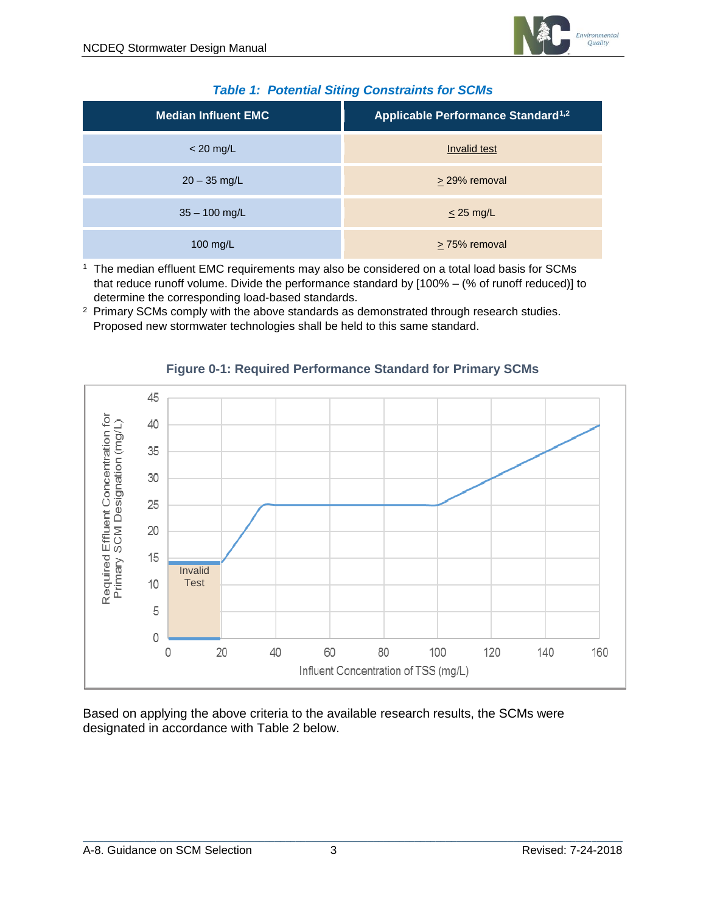| <b>Median Influent EMC</b> | Applicable Performance Standard <sup>1,2</sup> |  |  |
|----------------------------|------------------------------------------------|--|--|
| $<$ 20 mg/L                | Invalid test                                   |  |  |
| $20 - 35$ mg/L             | > 29% removal                                  |  |  |
| $35 - 100$ mg/L            | $\leq$ 25 mg/L                                 |  |  |
| 100 mg/L                   | $\geq$ 75% removal                             |  |  |

#### *Table 1: Potential Siting Constraints for SCMs*

<sup>1</sup> The median effluent EMC requirements may also be considered on a total load basis for SCMs that reduce runoff volume. Divide the performance standard by [100% – (% of runoff reduced)] to determine the corresponding load-based standards.

<sup>2</sup> Primary SCMs comply with the above standards as demonstrated through research studies. Proposed new stormwater technologies shall be held to this same standard.



#### **Figure 0-1: Required Performance Standard for Primary SCMs**

Based on applying the above criteria to the available research results, the SCMs were designated in accordance with Table 2 below.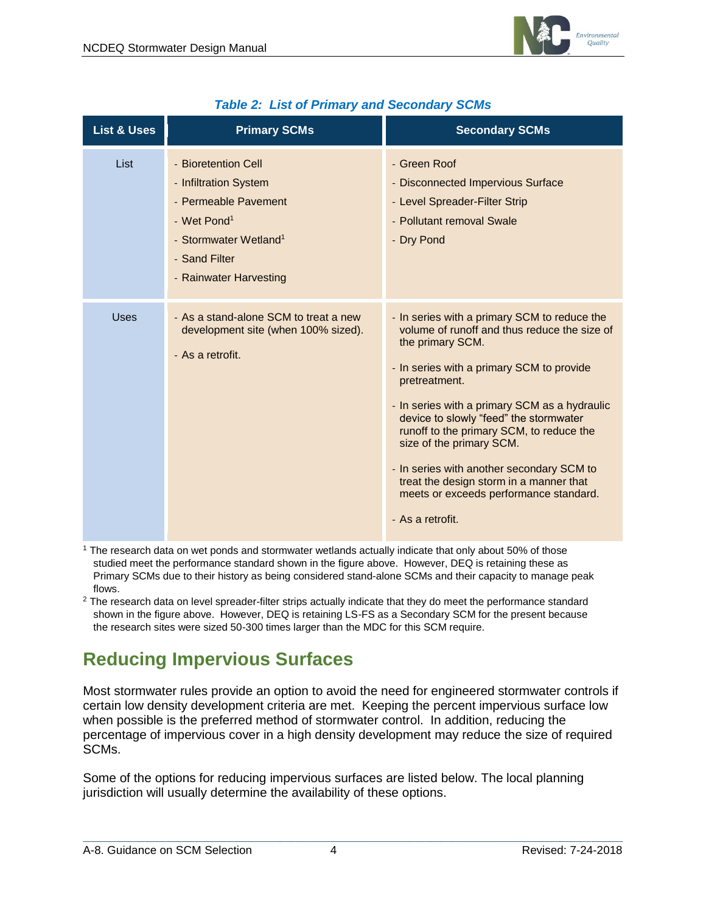

| <b>List &amp; Uses</b> | <b>Primary SCMs</b>                                                                                                                                                             | <b>Secondary SCMs</b>                                                                                                                                                                                                                                                                                                                                                                                                                                                                                   |
|------------------------|---------------------------------------------------------------------------------------------------------------------------------------------------------------------------------|---------------------------------------------------------------------------------------------------------------------------------------------------------------------------------------------------------------------------------------------------------------------------------------------------------------------------------------------------------------------------------------------------------------------------------------------------------------------------------------------------------|
| List                   | - Bioretention Cell<br>- Infiltration System<br>- Permeable Pavement<br>- Wet Pond <sup>1</sup><br>- Stormwater Wetland <sup>1</sup><br>- Sand Filter<br>- Rainwater Harvesting | - Green Roof<br>- Disconnected Impervious Surface<br>- Level Spreader-Filter Strip<br>- Pollutant removal Swale<br>- Dry Pond                                                                                                                                                                                                                                                                                                                                                                           |
| Uses                   | - As a stand-alone SCM to treat a new<br>development site (when 100% sized).<br>- As a retrofit.                                                                                | - In series with a primary SCM to reduce the<br>volume of runoff and thus reduce the size of<br>the primary SCM.<br>- In series with a primary SCM to provide<br>pretreatment.<br>- In series with a primary SCM as a hydraulic<br>device to slowly "feed" the stormwater<br>runoff to the primary SCM, to reduce the<br>size of the primary SCM.<br>- In series with another secondary SCM to<br>treat the design storm in a manner that<br>meets or exceeds performance standard.<br>- As a retrofit. |

### *Table 2: List of Primary and Secondary SCMs*

<sup>1</sup> The research data on wet ponds and stormwater wetlands actually indicate that only about 50% of those studied meet the performance standard shown in the figure above. However, DEQ is retaining these as Primary SCMs due to their history as being considered stand-alone SCMs and their capacity to manage peak flows.

<sup>2</sup> The research data on level spreader-filter strips actually indicate that they do meet the performance standard shown in the figure above. However, DEQ is retaining LS-FS as a Secondary SCM for the present because the research sites were sized 50-300 times larger than the MDC for this SCM require.

# **Reducing Impervious Surfaces**

Most stormwater rules provide an option to avoid the need for engineered stormwater controls if certain low density development criteria are met. Keeping the percent impervious surface low when possible is the preferred method of stormwater control. In addition, reducing the percentage of impervious cover in a high density development may reduce the size of required SCMs.

Some of the options for reducing impervious surfaces are listed below. The local planning jurisdiction will usually determine the availability of these options.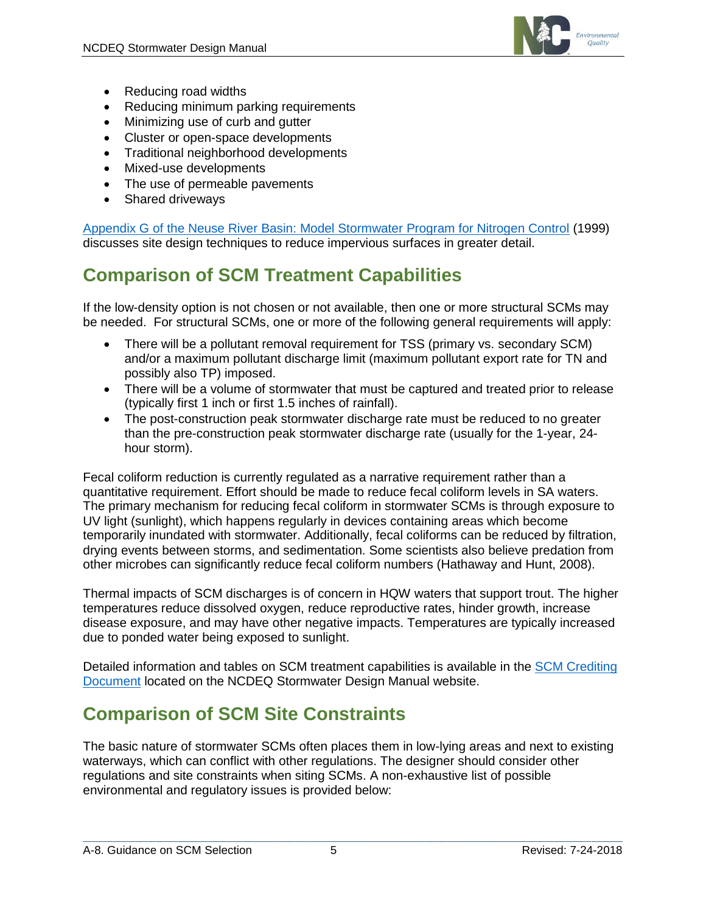

- Reducing road widths
- Reducing minimum parking requirements
- Minimizing use of curb and gutter
- Cluster or open-space developments
- Traditional neighborhood developments
- Mixed-use developments
- The use of permeable pavements
- Shared driveways

[Appendix G of the Neuse River Basin: Model Stormwater Program for Nitrogen Control](https://deq.nc.gov/about/divisions/water-resources/planning/nonpoint-source-management/nutrient-strategies/neuse) (1999) discusses site design techniques to reduce impervious surfaces in greater detail.

# **Comparison of SCM Treatment Capabilities**

If the low-density option is not chosen or not available, then one or more structural SCMs may be needed. For structural SCMs, one or more of the following general requirements will apply:

- There will be a pollutant removal requirement for TSS (primary vs. secondary SCM) and/or a maximum pollutant discharge limit (maximum pollutant export rate for TN and possibly also TP) imposed.
- There will be a volume of stormwater that must be captured and treated prior to release (typically first 1 inch or first 1.5 inches of rainfall).
- The post-construction peak stormwater discharge rate must be reduced to no greater than the pre-construction peak stormwater discharge rate (usually for the 1-year, 24 hour storm).

Fecal coliform reduction is currently regulated as a narrative requirement rather than a quantitative requirement. Effort should be made to reduce fecal coliform levels in SA waters. The primary mechanism for reducing fecal coliform in stormwater SCMs is through exposure to UV light (sunlight), which happens regularly in devices containing areas which become temporarily inundated with stormwater. Additionally, fecal coliforms can be reduced by filtration, drying events between storms, and sedimentation. Some scientists also believe predation from other microbes can significantly reduce fecal coliform numbers (Hathaway and Hunt, 2008).

Thermal impacts of SCM discharges is of concern in HQW waters that support trout. The higher temperatures reduce dissolved oxygen, reduce reproductive rates, hinder growth, increase disease exposure, and may have other negative impacts. Temperatures are typically increased due to ponded water being exposed to sunlight.

Detailed information and tables on SCM treatment capabilities is available in the [SCM Crediting](https://deq.nc.gov/about/divisions/energy-mineral-land-resources/energy-mineral-land-permit-guidance/stormwater-bmp-manual)  **[Document](https://deq.nc.gov/about/divisions/energy-mineral-land-resources/energy-mineral-land-permit-guidance/stormwater-bmp-manual) located on the NCDEQ Stormwater Design Manual website.** 

# **Comparison of SCM Site Constraints**

The basic nature of stormwater SCMs often places them in low-lying areas and next to existing waterways, which can conflict with other regulations. The designer should consider other regulations and site constraints when siting SCMs. A non-exhaustive list of possible environmental and regulatory issues is provided below: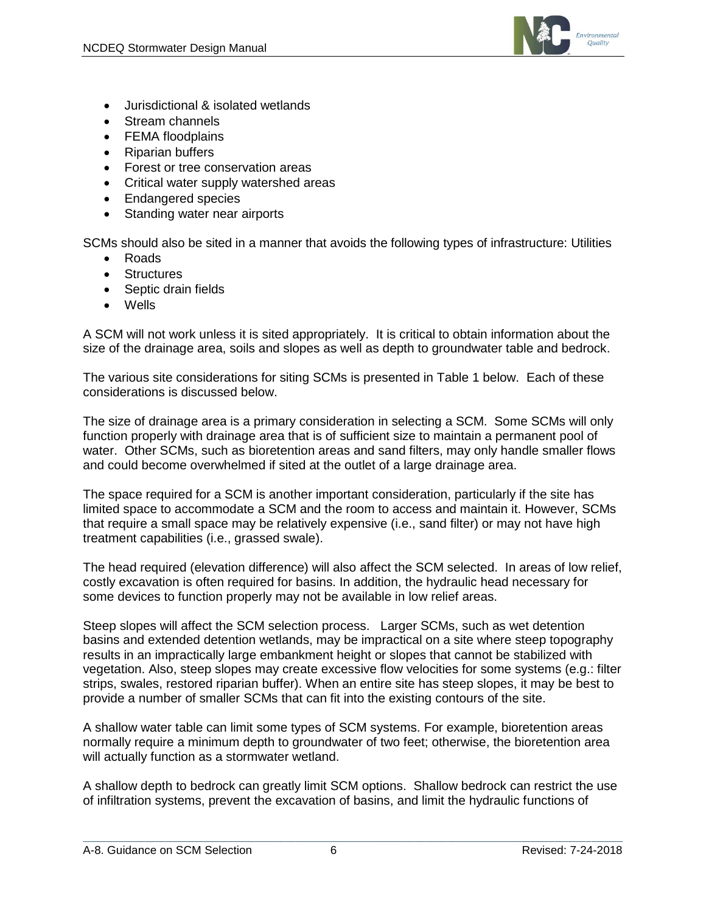

- Jurisdictional & isolated wetlands
- Stream channels
- FEMA floodplains
- Riparian buffers
- Forest or tree conservation areas
- Critical water supply watershed areas
- Endangered species
- Standing water near airports

SCMs should also be sited in a manner that avoids the following types of infrastructure: Utilities

- Roads
- Structures
- Septic drain fields
- Wells

A SCM will not work unless it is sited appropriately. It is critical to obtain information about the size of the drainage area, soils and slopes as well as depth to groundwater table and bedrock.

The various site considerations for siting SCMs is presented in Table 1 below. Each of these considerations is discussed below.

The size of drainage area is a primary consideration in selecting a SCM. Some SCMs will only function properly with drainage area that is of sufficient size to maintain a permanent pool of water. Other SCMs, such as bioretention areas and sand filters, may only handle smaller flows and could become overwhelmed if sited at the outlet of a large drainage area.

The space required for a SCM is another important consideration, particularly if the site has limited space to accommodate a SCM and the room to access and maintain it. However, SCMs that require a small space may be relatively expensive (i.e., sand filter) or may not have high treatment capabilities (i.e., grassed swale).

The head required (elevation difference) will also affect the SCM selected. In areas of low relief, costly excavation is often required for basins. In addition, the hydraulic head necessary for some devices to function properly may not be available in low relief areas.

Steep slopes will affect the SCM selection process. Larger SCMs, such as wet detention basins and extended detention wetlands, may be impractical on a site where steep topography results in an impractically large embankment height or slopes that cannot be stabilized with vegetation. Also, steep slopes may create excessive flow velocities for some systems (e.g.: filter strips, swales, restored riparian buffer). When an entire site has steep slopes, it may be best to provide a number of smaller SCMs that can fit into the existing contours of the site.

A shallow water table can limit some types of SCM systems. For example, bioretention areas normally require a minimum depth to groundwater of two feet; otherwise, the bioretention area will actually function as a stormwater wetland.

A shallow depth to bedrock can greatly limit SCM options. Shallow bedrock can restrict the use of infiltration systems, prevent the excavation of basins, and limit the hydraulic functions of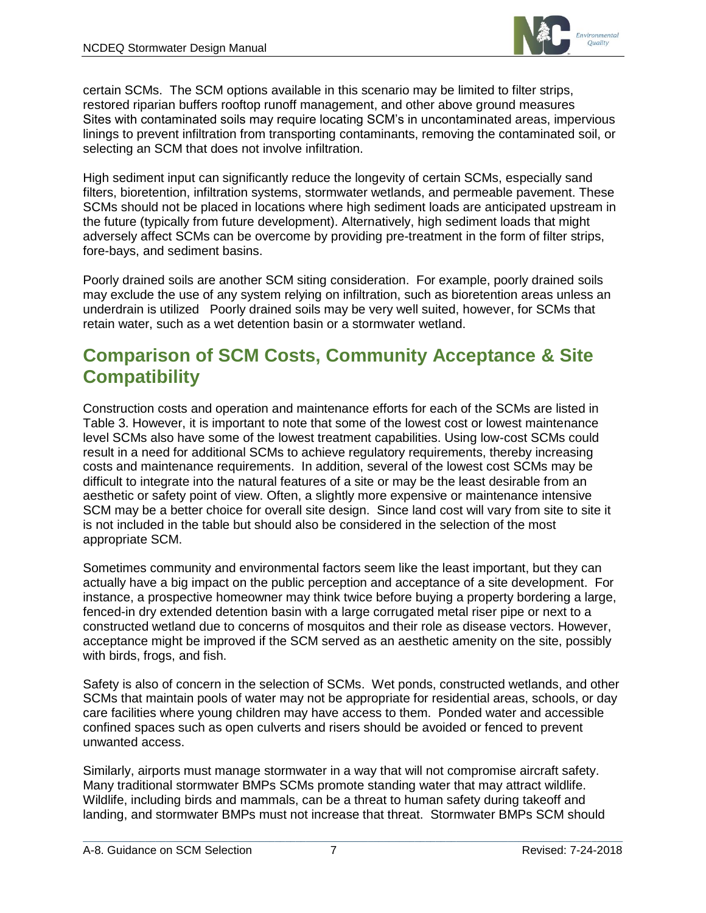

certain SCMs. The SCM options available in this scenario may be limited to filter strips, restored riparian buffers rooftop runoff management, and other above ground measures Sites with contaminated soils may require locating SCM's in uncontaminated areas, impervious linings to prevent infiltration from transporting contaminants, removing the contaminated soil, or selecting an SCM that does not involve infiltration.

High sediment input can significantly reduce the longevity of certain SCMs, especially sand filters, bioretention, infiltration systems, stormwater wetlands, and permeable pavement. These SCMs should not be placed in locations where high sediment loads are anticipated upstream in the future (typically from future development). Alternatively, high sediment loads that might adversely affect SCMs can be overcome by providing pre-treatment in the form of filter strips, fore-bays, and sediment basins.

Poorly drained soils are another SCM siting consideration. For example, poorly drained soils may exclude the use of any system relying on infiltration, such as bioretention areas unless an underdrain is utilized Poorly drained soils may be very well suited, however, for SCMs that retain water, such as a wet detention basin or a stormwater wetland.

### **Comparison of SCM Costs, Community Acceptance & Site Compatibility**

Construction costs and operation and maintenance efforts for each of the SCMs are listed in Table 3. However, it is important to note that some of the lowest cost or lowest maintenance level SCMs also have some of the lowest treatment capabilities. Using low-cost SCMs could result in a need for additional SCMs to achieve regulatory requirements, thereby increasing costs and maintenance requirements. In addition, several of the lowest cost SCMs may be difficult to integrate into the natural features of a site or may be the least desirable from an aesthetic or safety point of view. Often, a slightly more expensive or maintenance intensive SCM may be a better choice for overall site design. Since land cost will vary from site to site it is not included in the table but should also be considered in the selection of the most appropriate SCM.

Sometimes community and environmental factors seem like the least important, but they can actually have a big impact on the public perception and acceptance of a site development. For instance, a prospective homeowner may think twice before buying a property bordering a large, fenced-in dry extended detention basin with a large corrugated metal riser pipe or next to a constructed wetland due to concerns of mosquitos and their role as disease vectors. However, acceptance might be improved if the SCM served as an aesthetic amenity on the site, possibly with birds, frogs, and fish.

Safety is also of concern in the selection of SCMs. Wet ponds, constructed wetlands, and other SCMs that maintain pools of water may not be appropriate for residential areas, schools, or day care facilities where young children may have access to them. Ponded water and accessible confined spaces such as open culverts and risers should be avoided or fenced to prevent unwanted access.

Similarly, airports must manage stormwater in a way that will not compromise aircraft safety. Many traditional stormwater BMPs SCMs promote standing water that may attract wildlife. Wildlife, including birds and mammals, can be a threat to human safety during takeoff and landing, and stormwater BMPs must not increase that threat. Stormwater BMPs SCM should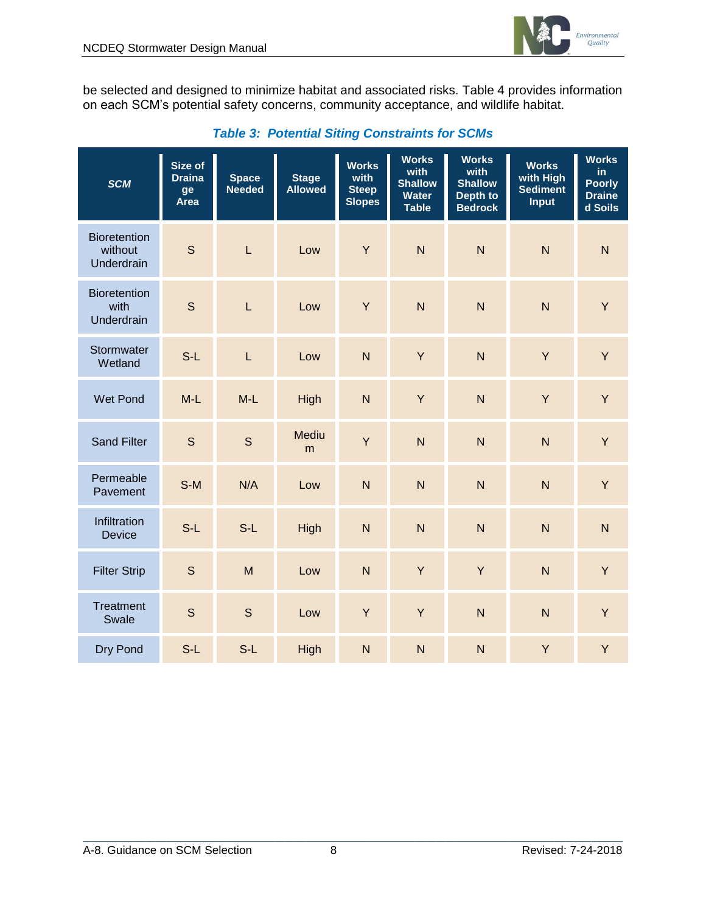

be selected and designed to minimize habitat and associated risks. Table 4 provides information on each SCM's potential safety concerns, community acceptance, and wildlife habitat.

| <b>SCM</b>                                   | Size of<br><b>Draina</b><br>ge<br><b>Area</b> | <b>Space</b><br><b>Needed</b> | <b>Stage</b><br><b>Allowed</b> | <b>Works</b><br>with<br><b>Steep</b><br><b>Slopes</b> | <b>Works</b><br>with<br><b>Shallow</b><br><b>Water</b><br><b>Table</b> | <b>Works</b><br>with<br><b>Shallow</b><br>Depth to<br><b>Bedrock</b> | <b>Works</b><br>with High<br><b>Sediment</b><br><b>Input</b> | <b>Works</b><br>in<br><b>Poorly</b><br><b>Draine</b><br>d Soils |
|----------------------------------------------|-----------------------------------------------|-------------------------------|--------------------------------|-------------------------------------------------------|------------------------------------------------------------------------|----------------------------------------------------------------------|--------------------------------------------------------------|-----------------------------------------------------------------|
| <b>Bioretention</b><br>without<br>Underdrain | $\mathsf{S}$                                  | $\overline{L}$                | Low                            | Y                                                     | $\overline{N}$                                                         | $\overline{N}$                                                       | $\overline{N}$                                               | $\overline{N}$                                                  |
| <b>Bioretention</b><br>with<br>Underdrain    | $\mathsf{S}$                                  | $\overline{L}$                | Low                            | Y                                                     | $\overline{N}$                                                         | $\overline{N}$                                                       | $\overline{N}$                                               | Y                                                               |
| Stormwater<br>Wetland                        | $S-L$                                         | $\overline{L}$                | Low                            | $\overline{N}$                                        | Y                                                                      | $\overline{N}$                                                       | Y                                                            | Y                                                               |
| <b>Wet Pond</b>                              | $M-L$                                         | $M-L$                         | High                           | $\overline{N}$                                        | Y                                                                      | N                                                                    | Y                                                            | Y                                                               |
| <b>Sand Filter</b>                           | $\mathsf{S}$                                  | S                             | <b>Mediu</b><br>m              | Y                                                     | $\overline{N}$                                                         | N                                                                    | $\overline{N}$                                               | Y                                                               |
| Permeable<br>Pavement                        | $S-M$                                         | N/A                           | Low                            | $\overline{N}$                                        | N                                                                      | $\mathsf{N}$                                                         | $\overline{N}$                                               | Y                                                               |
| Infiltration<br><b>Device</b>                | $S-L$                                         | $S-L$                         | High                           | $\overline{N}$                                        | $\overline{N}$                                                         | $\overline{N}$                                                       | $\overline{N}$                                               | N                                                               |
| <b>Filter Strip</b>                          | $\mathsf{S}$                                  | M                             | Low                            | N                                                     | Y                                                                      | Y                                                                    | $\overline{N}$                                               | Y                                                               |
| Treatment<br>Swale                           | $\mathsf{S}$                                  | $\mathsf{S}$                  | Low                            | Y                                                     | Y                                                                      | $\mathsf{N}$                                                         | $\overline{N}$                                               | Y                                                               |
| Dry Pond                                     | $S-L$                                         | $S-L$                         | High                           | N                                                     | $\overline{\mathsf{N}}$                                                | $\overline{N}$                                                       | Y                                                            | Y                                                               |

### *Table 3: Potential Siting Constraints for SCMs*